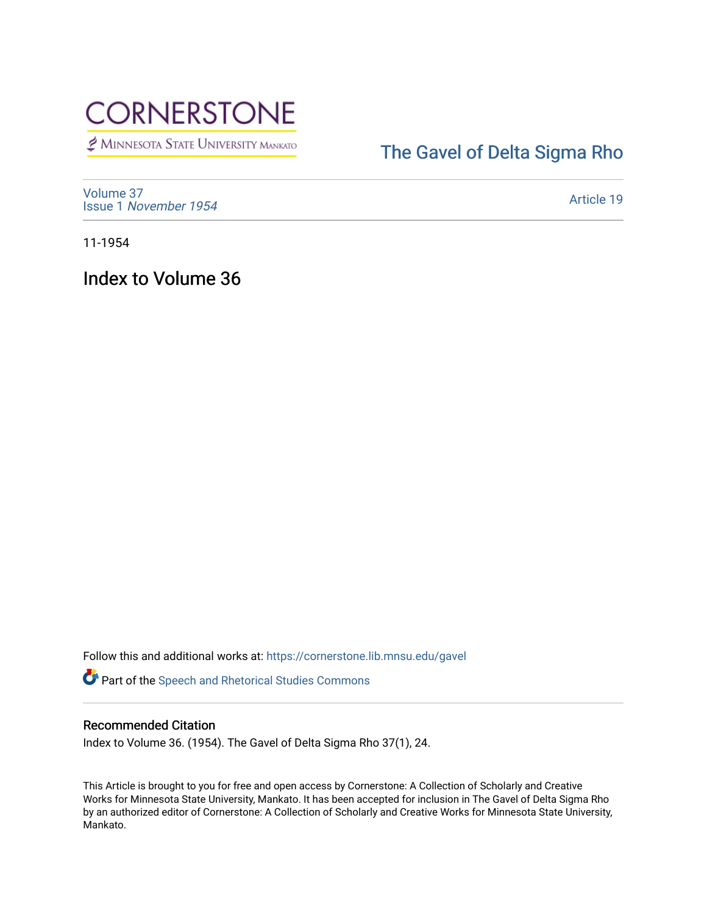

MINNESOTA STATE UNIVERSITY MANKATO

## [The Gavel of Delta Sigma Rho](https://cornerstone.lib.mnsu.edu/gavel)

[Volume 37](https://cornerstone.lib.mnsu.edu/gavel/vol37) Issue 1 [November 1954](https://cornerstone.lib.mnsu.edu/gavel/vol37/iss1) 

[Article 19](https://cornerstone.lib.mnsu.edu/gavel/vol37/iss1/19) 

11-1954

Index to Volume 36

Follow this and additional works at: [https://cornerstone.lib.mnsu.edu/gavel](https://cornerstone.lib.mnsu.edu/gavel?utm_source=cornerstone.lib.mnsu.edu%2Fgavel%2Fvol37%2Fiss1%2F19&utm_medium=PDF&utm_campaign=PDFCoverPages) 

Part of the [Speech and Rhetorical Studies Commons](http://network.bepress.com/hgg/discipline/338?utm_source=cornerstone.lib.mnsu.edu%2Fgavel%2Fvol37%2Fiss1%2F19&utm_medium=PDF&utm_campaign=PDFCoverPages) 

## Recommended Citation

Index to Volume 36. (1954). The Gavel of Delta Sigma Rho 37(1), 24.

This Article is brought to you for free and open access by Cornerstone: A Collection of Scholarly and Creative Works for Minnesota State University, Mankato. It has been accepted for inclusion in The Gavel of Delta Sigma Rho by an authorized editor of Cornerstone: A Collection of Scholarly and Creative Works for Minnesota State University, Mankato.